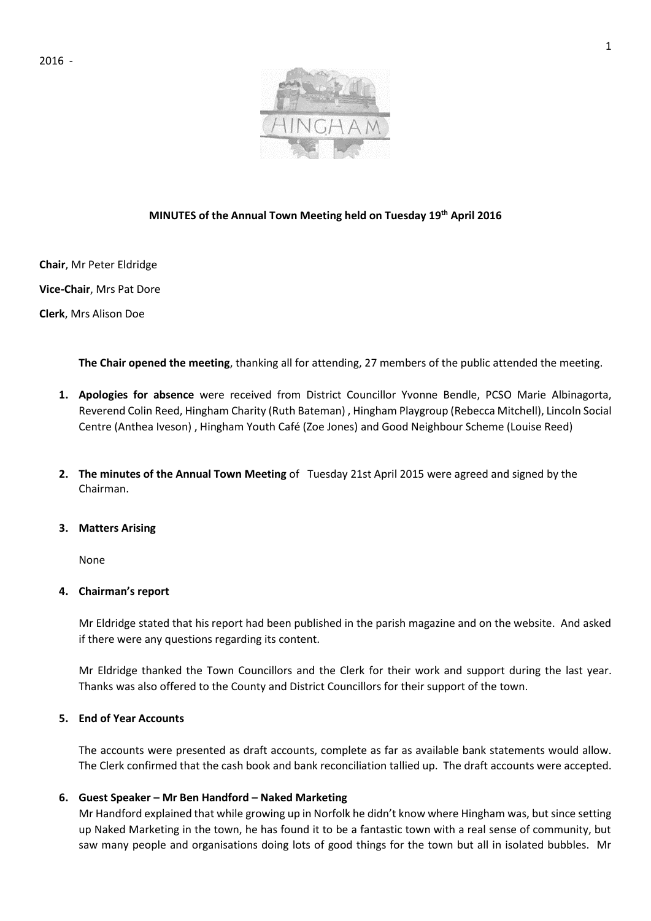

# **MINUTES of the Annual Town Meeting held on Tuesday 19th April 2016**

**Chair**, Mr Peter Eldridge

**Vice-Chair**, Mrs Pat Dore

**Clerk**, Mrs Alison Doe

**The Chair opened the meeting**, thanking all for attending, 27 members of the public attended the meeting.

- **1. Apologies for absence** were received from District Councillor Yvonne Bendle, PCSO Marie Albinagorta, Reverend Colin Reed, Hingham Charity (Ruth Bateman) , Hingham Playgroup (Rebecca Mitchell), Lincoln Social Centre (Anthea Iveson) , Hingham Youth Café (Zoe Jones) and Good Neighbour Scheme (Louise Reed)
- **2. The minutes of the Annual Town Meeting** of Tuesday 21st April 2015 were agreed and signed by the Chairman.

### **3. Matters Arising**

None

### **4. Chairman's report**

Mr Eldridge stated that his report had been published in the parish magazine and on the website. And asked if there were any questions regarding its content.

Mr Eldridge thanked the Town Councillors and the Clerk for their work and support during the last year. Thanks was also offered to the County and District Councillors for their support of the town.

### **5. End of Year Accounts**

The accounts were presented as draft accounts, complete as far as available bank statements would allow. The Clerk confirmed that the cash book and bank reconciliation tallied up. The draft accounts were accepted.

### **6. Guest Speaker – Mr Ben Handford – Naked Marketing**

Mr Handford explained that while growing up in Norfolk he didn't know where Hingham was, but since setting up Naked Marketing in the town, he has found it to be a fantastic town with a real sense of community, but saw many people and organisations doing lots of good things for the town but all in isolated bubbles. Mr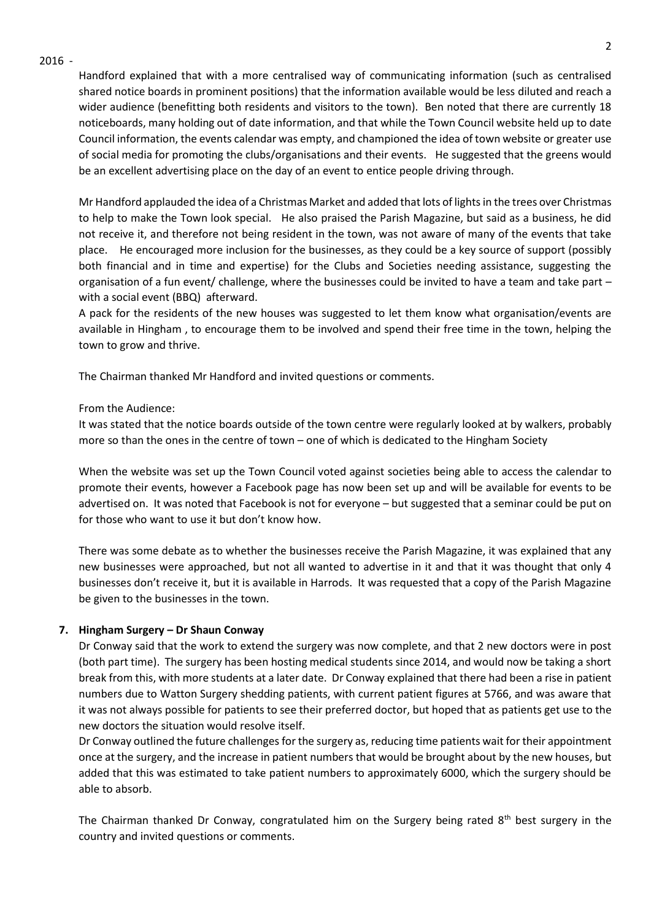#### 2016 -

Handford explained that with a more centralised way of communicating information (such as centralised shared notice boards in prominent positions) that the information available would be less diluted and reach a wider audience (benefitting both residents and visitors to the town). Ben noted that there are currently 18 noticeboards, many holding out of date information, and that while the Town Council website held up to date Council information, the events calendar was empty, and championed the idea of town website or greater use of social media for promoting the clubs/organisations and their events. He suggested that the greens would be an excellent advertising place on the day of an event to entice people driving through.

Mr Handford applauded the idea of a Christmas Market and added that lots of lights in the trees over Christmas to help to make the Town look special. He also praised the Parish Magazine, but said as a business, he did not receive it, and therefore not being resident in the town, was not aware of many of the events that take place. He encouraged more inclusion for the businesses, as they could be a key source of support (possibly both financial and in time and expertise) for the Clubs and Societies needing assistance, suggesting the organisation of a fun event/ challenge, where the businesses could be invited to have a team and take part – with a social event (BBQ) afterward.

A pack for the residents of the new houses was suggested to let them know what organisation/events are available in Hingham , to encourage them to be involved and spend their free time in the town, helping the town to grow and thrive.

The Chairman thanked Mr Handford and invited questions or comments.

### From the Audience:

It was stated that the notice boards outside of the town centre were regularly looked at by walkers, probably more so than the ones in the centre of town – one of which is dedicated to the Hingham Society

When the website was set up the Town Council voted against societies being able to access the calendar to promote their events, however a Facebook page has now been set up and will be available for events to be advertised on. It was noted that Facebook is not for everyone – but suggested that a seminar could be put on for those who want to use it but don't know how.

There was some debate as to whether the businesses receive the Parish Magazine, it was explained that any new businesses were approached, but not all wanted to advertise in it and that it was thought that only 4 businesses don't receive it, but it is available in Harrods. It was requested that a copy of the Parish Magazine be given to the businesses in the town.

### **7. Hingham Surgery – Dr Shaun Conway**

Dr Conway said that the work to extend the surgery was now complete, and that 2 new doctors were in post (both part time). The surgery has been hosting medical students since 2014, and would now be taking a short break from this, with more students at a later date. Dr Conway explained that there had been a rise in patient numbers due to Watton Surgery shedding patients, with current patient figures at 5766, and was aware that it was not always possible for patients to see their preferred doctor, but hoped that as patients get use to the new doctors the situation would resolve itself.

Dr Conway outlined the future challenges for the surgery as, reducing time patients wait for their appointment once at the surgery, and the increase in patient numbers that would be brought about by the new houses, but added that this was estimated to take patient numbers to approximately 6000, which the surgery should be able to absorb.

The Chairman thanked Dr Conway, congratulated him on the Surgery being rated  $8<sup>th</sup>$  best surgery in the country and invited questions or comments.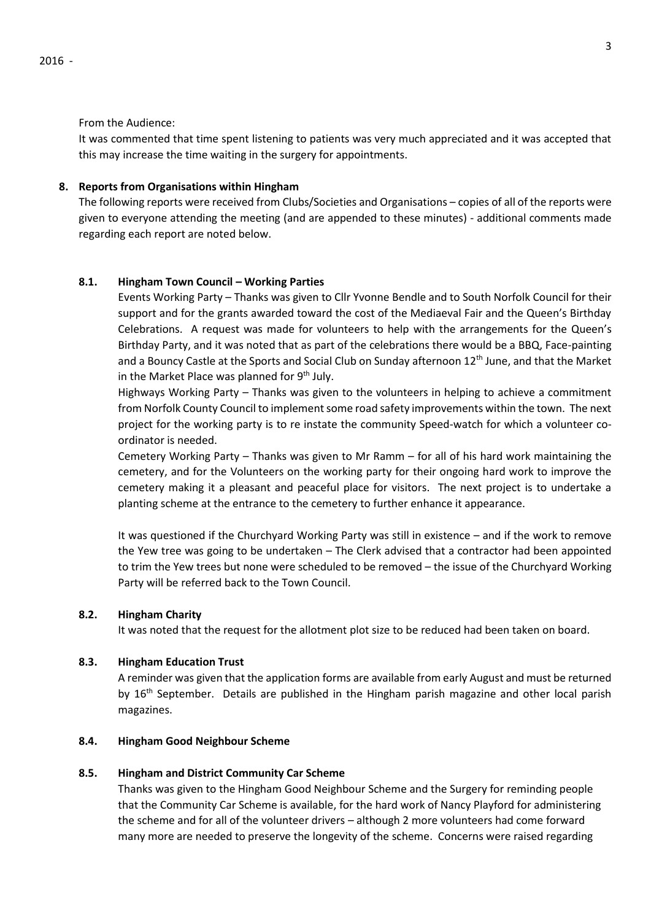#### From the Audience:

It was commented that time spent listening to patients was very much appreciated and it was accepted that this may increase the time waiting in the surgery for appointments.

# **8. Reports from Organisations within Hingham**

The following reports were received from Clubs/Societies and Organisations – copies of all of the reports were given to everyone attending the meeting (and are appended to these minutes) - additional comments made regarding each report are noted below.

# **8.1. Hingham Town Council – Working Parties**

Events Working Party – Thanks was given to Cllr Yvonne Bendle and to South Norfolk Council for their support and for the grants awarded toward the cost of the Mediaeval Fair and the Queen's Birthday Celebrations. A request was made for volunteers to help with the arrangements for the Queen's Birthday Party, and it was noted that as part of the celebrations there would be a BBQ, Face-painting and a Bouncy Castle at the Sports and Social Club on Sunday afternoon 12<sup>th</sup> June, and that the Market in the Market Place was planned for 9<sup>th</sup> July.

Highways Working Party – Thanks was given to the volunteers in helping to achieve a commitment from Norfolk County Council to implement some road safety improvements within the town. The next project for the working party is to re instate the community Speed-watch for which a volunteer coordinator is needed.

Cemetery Working Party – Thanks was given to Mr Ramm – for all of his hard work maintaining the cemetery, and for the Volunteers on the working party for their ongoing hard work to improve the cemetery making it a pleasant and peaceful place for visitors. The next project is to undertake a planting scheme at the entrance to the cemetery to further enhance it appearance.

It was questioned if the Churchyard Working Party was still in existence – and if the work to remove the Yew tree was going to be undertaken – The Clerk advised that a contractor had been appointed to trim the Yew trees but none were scheduled to be removed – the issue of the Churchyard Working Party will be referred back to the Town Council.

# **8.2. Hingham Charity**

It was noted that the request for the allotment plot size to be reduced had been taken on board.

#### **8.3. Hingham Education Trust**

A reminder was given that the application forms are available from early August and must be returned by 16<sup>th</sup> September. Details are published in the Hingham parish magazine and other local parish magazines.

# **8.4. Hingham Good Neighbour Scheme**

# **8.5. Hingham and District Community Car Scheme**

Thanks was given to the Hingham Good Neighbour Scheme and the Surgery for reminding people that the Community Car Scheme is available, for the hard work of Nancy Playford for administering the scheme and for all of the volunteer drivers – although 2 more volunteers had come forward many more are needed to preserve the longevity of the scheme. Concerns were raised regarding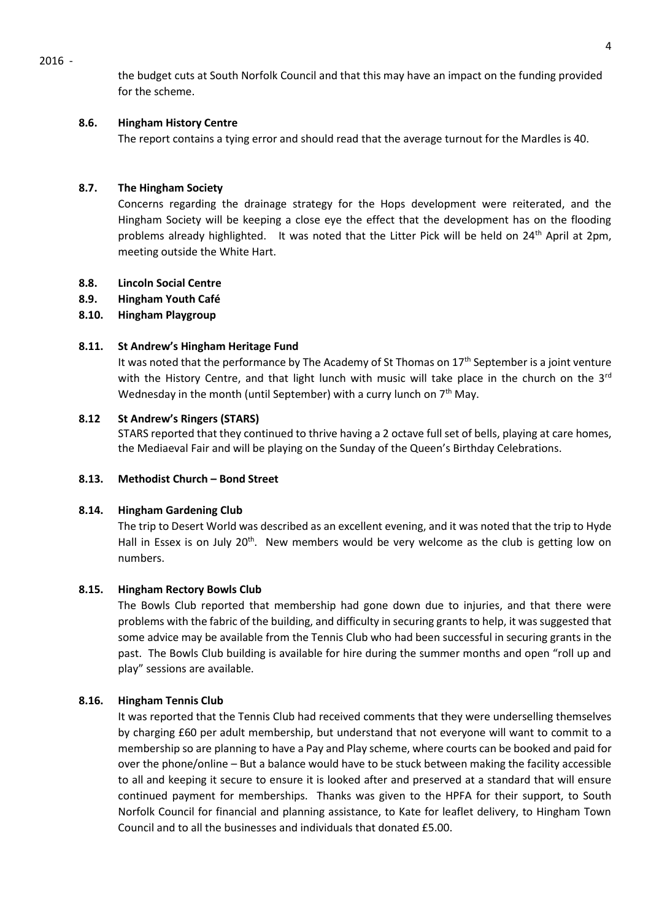2016 -

the budget cuts at South Norfolk Council and that this may have an impact on the funding provided for the scheme.

# **8.6. Hingham History Centre**

The report contains a tying error and should read that the average turnout for the Mardles is 40.

# **8.7. The Hingham Society**

Concerns regarding the drainage strategy for the Hops development were reiterated, and the Hingham Society will be keeping a close eye the effect that the development has on the flooding problems already highlighted. It was noted that the Litter Pick will be held on 24<sup>th</sup> April at 2pm, meeting outside the White Hart.

# **8.8. Lincoln Social Centre**

**8.9. Hingham Youth Café**

# **8.10. Hingham Playgroup**

### **8.11. St Andrew's Hingham Heritage Fund**

It was noted that the performance by The Academy of St Thomas on  $17<sup>th</sup>$  September is a joint venture with the History Centre, and that light lunch with music will take place in the church on the  $3<sup>rd</sup>$ Wednesday in the month (until September) with a curry lunch on  $7<sup>th</sup>$  May.

# **8.12 St Andrew's Ringers (STARS)**

STARS reported that they continued to thrive having a 2 octave full set of bells, playing at care homes, the Mediaeval Fair and will be playing on the Sunday of the Queen's Birthday Celebrations.

### **8.13. Methodist Church – Bond Street**

### **8.14. Hingham Gardening Club**

The trip to Desert World was described as an excellent evening, and it was noted that the trip to Hyde Hall in Essex is on July  $20<sup>th</sup>$ . New members would be very welcome as the club is getting low on numbers.

### **8.15. Hingham Rectory Bowls Club**

The Bowls Club reported that membership had gone down due to injuries, and that there were problems with the fabric of the building, and difficulty in securing grants to help, it was suggested that some advice may be available from the Tennis Club who had been successful in securing grants in the past. The Bowls Club building is available for hire during the summer months and open "roll up and play" sessions are available.

### **8.16. Hingham Tennis Club**

It was reported that the Tennis Club had received comments that they were underselling themselves by charging £60 per adult membership, but understand that not everyone will want to commit to a membership so are planning to have a Pay and Play scheme, where courts can be booked and paid for over the phone/online – But a balance would have to be stuck between making the facility accessible to all and keeping it secure to ensure it is looked after and preserved at a standard that will ensure continued payment for memberships. Thanks was given to the HPFA for their support, to South Norfolk Council for financial and planning assistance, to Kate for leaflet delivery, to Hingham Town Council and to all the businesses and individuals that donated £5.00.